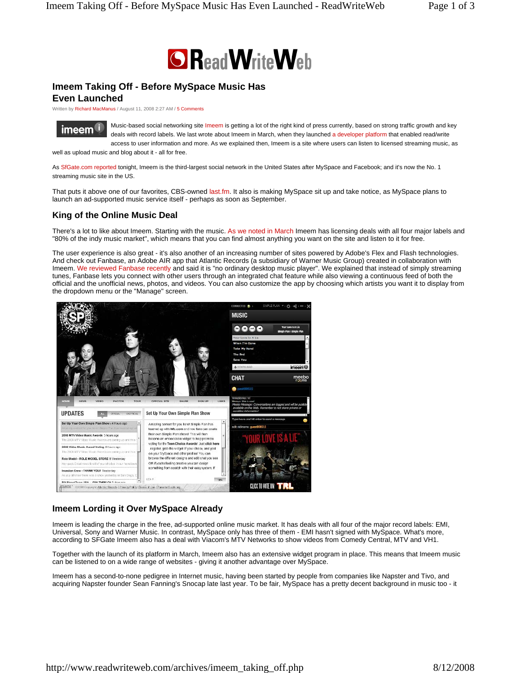

# **Imeem Taking Off - Before MySpace Music Has**

**Even Launched** 

Written by Richard MacManus / August 11, 2008 2:27 AM / 5 Comments



Music-based social networking site Imeem is getting a lot of the right kind of press currently, based on strong traffic growth and key deals with record labels. We last wrote about Imeem in March, when they launched a developer platform that enabled read/write access to user information and more. As we explained then, Imeem is a site where users can listen to licensed streaming music, as

well as upload music and blog about it - all for free.

As SfGate.com reported tonight, Imeem is the third-largest social network in the United States after MySpace and Facebook; and it's now the No. 1 streaming music site in the US.

That puts it above one of our favorites, CBS-owned last.fm. It also is making MySpace sit up and take notice, as MySpace plans to launch an ad-supported music service itself - perhaps as soon as September.

# **King of the Online Music Deal**

There's a lot to like about Imeem. Starting with the music. As we noted in March Imeem has licensing deals with all four major labels and "80% of the indy music market", which means that you can find almost anything you want on the site and listen to it for free.

The user experience is also great - it's also another of an increasing number of sites powered by Adobe's Flex and Flash technologies. And check out Fanbase, an Adobe AIR app that Atlantic Records (a subsidiary of Warner Music Group) created in collaboration with Imeem. We reviewed Fanbase recently and said it is "no ordinary desktop music player". We explained that instead of simply streaming tunes, Fanbase lets you connect with other users through an integrated chat feature while also viewing a continuous feed of both the official and the unofficial news, photos, and videos. You can also customize the app by choosing which artists you want it to display from the dropdown menu or the "Manage" screen.



### **Imeem Lording it Over MySpace Already**

Imeem is leading the charge in the free, ad-supported online music market. It has deals with all four of the major record labels: EMI, Universal, Sony and Warner Music. In contrast, MySpace only has three of them - EMI hasn't signed with MySpace. What's more, according to SFGate Imeem also has a deal with Viacom's MTV Networks to show videos from Comedy Central, MTV and VH1.

Together with the launch of its platform in March, Imeem also has an extensive widget program in place. This means that Imeem music can be listened to on a wide range of websites - giving it another advantage over MySpace.

Imeem has a second-to-none pedigree in Internet music, having been started by people from companies like Napster and Tivo, and acquiring Napster founder Sean Fanning's Snocap late last year. To be fair, MySpace has a pretty decent background in music too - it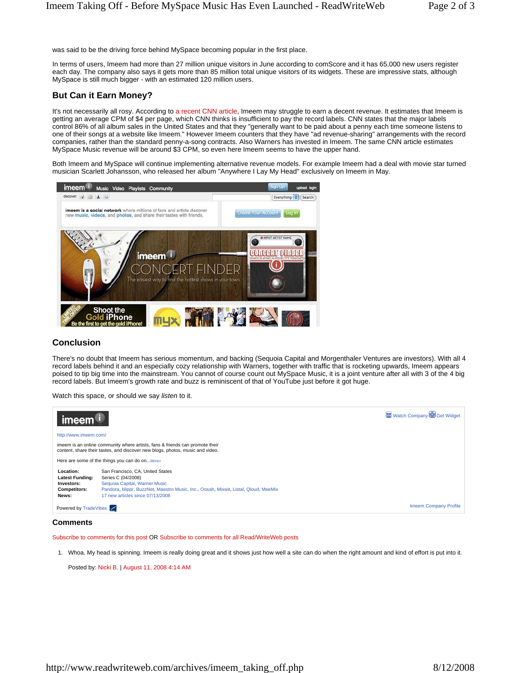was said to be the driving force behind MySpace becoming popular in the first place.

In terms of users, Imeem had more than 27 million unique visitors in June according to comScore and it has 65,000 new users register each day. The company also says it gets more than 85 million total unique visitors of its widgets. These are impressive stats, although MySpace is still much bigger - with an estimated 120 million users.

## **But Can it Earn Money?**

It's not necessarily all rosy. According to a recent CNN article, Imeem may struggle to earn a decent revenue. It estimates that Imeem is getting an average CPM of \$4 per page, which CNN thinks is insufficient to pay the record labels. CNN states that the major labels control 86% of all album sales in the United States and that they "generally want to be paid about a penny each time someone listens to one of their songs at a website like Imeem." However Imeem counters that they have "ad revenue-sharing" arrangements with the record companies, rather than the standard penny-a-song contracts. Also Warners has invested in Imeem. The same CNN article estimates MySpace Music revenue will be around \$3 CPM, so even here Imeem seems to have the upper hand.

Both Imeem and MySpace will continue implementing alternative revenue models. For example Imeem had a deal with movie star turned musician Scarlett Johansson, who released her album "Anywhere I Lay My Head" exclusively on Imeem in May.



### **Conclusion**

There's no doubt that Imeem has serious momentum, and backing (Sequoia Capital and Morgenthaler Ventures are investors). With all 4 record labels behind it and an especially cozy relationship with Warners, together with traffic that is rocketing upwards, Imeem appears poised to tip big time into the mainstream. You cannot of course count out MySpace Music, it is a joint venture after all with 3 of the 4 big record labels. But Imeem's growth rate and buzz is reminiscent of that of YouTube just before it got huge.

Watch this space, or should we say *listen* to it.



#### **Comments**

Subscribe to comments for this post OR Subscribe to comments for all Read/WriteWeb posts

1. Whoa. My head is spinning. Imeem is really doing great and it shows just how well a site can do when the right amount and kind of effort is put into it.

Posted by: Nicki B. | August 11, 2008 4:14 AM